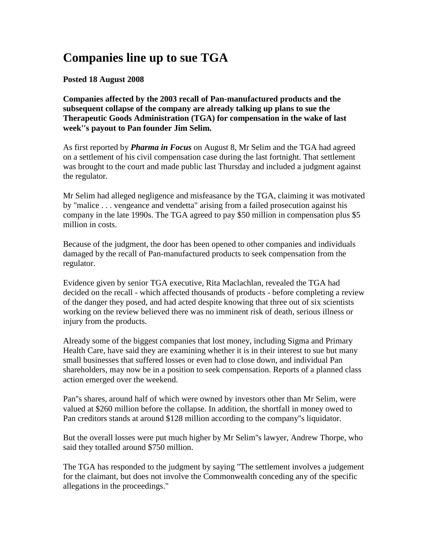## **Companies line up to sue TGA**

**Posted 18 August 2008**

**Companies affected by the 2003 recall of Pan-manufactured products and the subsequent collapse of the company are already talking up plans to sue the Therapeutic Goods Administration (TGA) for compensation in the wake of last week''s payout to Pan founder Jim Selim.**

As first reported by *Pharma in Focus* on August 8, Mr Selim and the TGA had agreed on a settlement of his civil compensation case during the last fortnight. That settlement was brought to the court and made public last Thursday and included a judgment against the regulator.

Mr Selim had alleged negligence and misfeasance by the TGA, claiming it was motivated by "malice . . . vengeance and vendetta" arising from a failed prosecution against his company in the late 1990s. The TGA agreed to pay \$50 million in compensation plus \$5 million in costs.

Because of the judgment, the door has been opened to other companies and individuals damaged by the recall of Pan-manufactured products to seek compensation from the regulator.

Evidence given by senior TGA executive, Rita Maclachlan, revealed the TGA had decided on the recall - which affected thousands of products - before completing a review of the danger they posed, and had acted despite knowing that three out of six scientists working on the review believed there was no imminent risk of death, serious illness or injury from the products.

Already some of the biggest companies that lost money, including Sigma and Primary Health Care, have said they are examining whether it is in their interest to sue but many small businesses that suffered losses or even had to close down, and individual Pan shareholders, may now be in a position to seek compensation. Reports of a planned class action emerged over the weekend.

Pan''s shares, around half of which were owned by investors other than Mr Selim, were valued at \$260 million before the collapse. In addition, the shortfall in money owed to Pan creditors stands at around \$128 million according to the company''s liquidator.

But the overall losses were put much higher by Mr Selim''s lawyer, Andrew Thorpe, who said they totalled around \$750 million.

The TGA has responded to the judgment by saying "The settlement involves a judgement for the claimant, but does not involve the Commonwealth conceding any of the specific allegations in the proceedings."